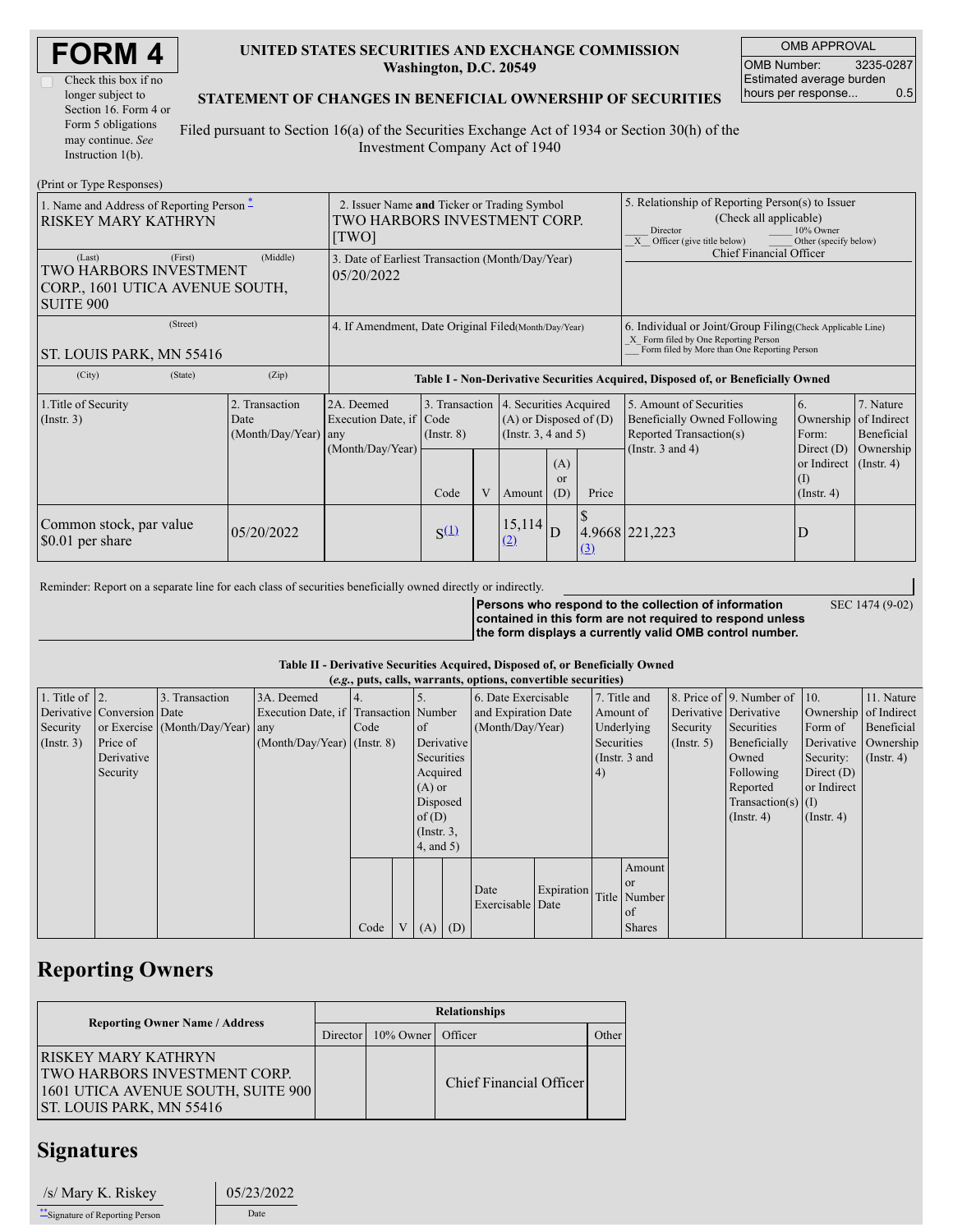| <b>FORM4</b> |  |
|--------------|--|
|--------------|--|

### **UNITED STATES SECURITIES AND EXCHANGE COMMISSION Washington, D.C. 20549**

OMB APPROVAL OMB Number: 3235-0287 Estimated average burden hours per response... 0.5

SEC 1474 (9-02)

#### **STATEMENT OF CHANGES IN BENEFICIAL OWNERSHIP OF SECURITIES**

Filed pursuant to Section 16(a) of the Securities Exchange Act of 1934 or Section 30(h) of the Investment Company Act of 1940

| (Print or Type Responses)                                                                          |                                                                                      |                                                                                  |                                   |   |                                                                                         |                      |                                                                                                                                                                |                                                                                                             |                                                         |                                                                      |
|----------------------------------------------------------------------------------------------------|--------------------------------------------------------------------------------------|----------------------------------------------------------------------------------|-----------------------------------|---|-----------------------------------------------------------------------------------------|----------------------|----------------------------------------------------------------------------------------------------------------------------------------------------------------|-------------------------------------------------------------------------------------------------------------|---------------------------------------------------------|----------------------------------------------------------------------|
| 1. Name and Address of Reporting Person $*$<br><b>RISKEY MARY KATHRYN</b>                          | 2. Issuer Name and Ticker or Trading Symbol<br>TWO HARBORS INVESTMENT CORP.<br>[TWO] |                                                                                  |                                   |   |                                                                                         |                      | 5. Relationship of Reporting Person(s) to Issuer<br>(Check all applicable)<br>10% Owner<br>Director<br>$X$ Officer (give title below)<br>Other (specify below) |                                                                                                             |                                                         |                                                                      |
| (First)<br>(Last)<br>TWO HARBORS INVESTMENT<br>CORP., 1601 UTICA AVENUE SOUTH,<br><b>SUITE 900</b> | 3. Date of Earliest Transaction (Month/Day/Year)<br>05/20/2022                       |                                                                                  |                                   |   |                                                                                         |                      | Chief Financial Officer                                                                                                                                        |                                                                                                             |                                                         |                                                                      |
| (Street)<br><b>ST. LOUIS PARK, MN 55416</b>                                                        | 4. If Amendment, Date Original Filed (Month/Day/Year)                                |                                                                                  |                                   |   |                                                                                         |                      | 6. Individual or Joint/Group Filing (Check Applicable Line)<br>X Form filed by One Reporting Person<br>Form filed by More than One Reporting Person            |                                                                                                             |                                                         |                                                                      |
| (City)<br>(State)                                                                                  | (Zip)                                                                                | Table I - Non-Derivative Securities Acquired, Disposed of, or Beneficially Owned |                                   |   |                                                                                         |                      |                                                                                                                                                                |                                                                                                             |                                                         |                                                                      |
| 1. Title of Security<br>$($ Instr. 3 $)$                                                           | 2. Transaction<br>Date<br>(Month/Day/Year)                                           | 2A. Deemed<br>Execution Date, if Code<br>any<br>(Month/Day/Year)                 | 3. Transaction<br>$($ Instr. $8)$ |   | 4. Securities Acquired<br>$(A)$ or Disposed of $(D)$<br>(Instr. $3, 4$ and $5$ )<br>(A) |                      |                                                                                                                                                                | 5. Amount of Securities<br>Beneficially Owned Following<br>Reported Transaction(s)<br>(Instr. $3$ and $4$ ) | 6.<br>Ownership<br>Form:<br>Direct $(D)$<br>or Indirect | 7. Nature<br>of Indirect<br>Beneficial<br>Ownership<br>$($ Instr. 4) |
|                                                                                                    |                                                                                      |                                                                                  | Code                              | V | Amount                                                                                  | <sub>or</sub><br>(D) | Price                                                                                                                                                          |                                                                                                             | $(\mathrm{I})$<br>$($ Instr. 4 $)$                      |                                                                      |
| Common stock, par value<br>\$0.01 per share                                                        | 05/20/2022                                                                           |                                                                                  | $S^{(1)}$                         |   | 15,114<br><u>(2)</u>                                                                    |                      | (3)                                                                                                                                                            | 4.9668 221,223                                                                                              | D                                                       |                                                                      |

Reminder: Report on a separate line for each class of securities beneficially owned directly or indirectly.

**Persons who respond to the collection of information contained in this form are not required to respond unless the form displays a currently valid OMB control number.**

#### **Table II - Derivative Securities Acquired, Disposed of, or Beneficially Owned (***e.g.***, puts, calls, warrants, options, convertible securities)**

|                    | (e.g., puts, cans, warrants, options, convertible securities) |                                  |                                       |        |  |                        |            |                     |            |                 |                  |                      |                              |                       |                  |
|--------------------|---------------------------------------------------------------|----------------------------------|---------------------------------------|--------|--|------------------------|------------|---------------------|------------|-----------------|------------------|----------------------|------------------------------|-----------------------|------------------|
| 1. Title of $ 2$ . |                                                               | 3. Transaction                   | 3A. Deemed                            |        |  |                        |            | 6. Date Exercisable |            |                 | 7. Title and     |                      | 8. Price of 9. Number of 10. |                       | 11. Nature       |
|                    | Derivative Conversion Date                                    |                                  | Execution Date, if Transaction Number |        |  |                        |            | and Expiration Date |            | Amount of       |                  |                      | Derivative Derivative        | Ownership of Indirect |                  |
| Security           |                                                               | or Exercise (Month/Day/Year) any |                                       | I Code |  | (Month/Day/Year)<br>of |            |                     | Underlying |                 | Security         | Securities           | Form of                      | Beneficial            |                  |
| $($ Instr. 3 $)$   | Price of                                                      |                                  | $(Month/Day/Year)$ (Instr. 8)         |        |  |                        | Derivative |                     | Securities |                 | $($ Instr. 5 $)$ | Beneficially         |                              | Derivative Ownership  |                  |
|                    | Derivative                                                    |                                  |                                       |        |  | Securities             |            |                     |            | (Instr. $3$ and |                  |                      | Owned                        | Security:             | $($ Instr. 4 $)$ |
|                    | Security                                                      |                                  |                                       |        |  | Acquired               |            |                     |            | 4)              |                  |                      | Following                    | Direct $(D)$          |                  |
|                    |                                                               |                                  |                                       |        |  | $(A)$ or               |            |                     |            |                 |                  |                      | Reported                     | or Indirect           |                  |
|                    |                                                               |                                  |                                       |        |  |                        | Disposed   |                     |            |                 |                  | Transaction(s) $(I)$ |                              |                       |                  |
|                    |                                                               |                                  |                                       |        |  | of $(D)$               |            |                     |            |                 |                  |                      | $($ Instr. 4 $)$             | $($ Instr. 4)         |                  |
|                    |                                                               |                                  |                                       |        |  | $($ Instr. $3$ ,       |            |                     |            |                 |                  |                      |                              |                       |                  |
|                    |                                                               |                                  |                                       |        |  | $4$ , and $5$ )        |            |                     |            |                 |                  |                      |                              |                       |                  |
|                    |                                                               |                                  |                                       |        |  |                        |            |                     |            |                 | Amount           |                      |                              |                       |                  |
|                    |                                                               |                                  |                                       |        |  |                        |            |                     |            |                 | <sub>or</sub>    |                      |                              |                       |                  |
|                    |                                                               |                                  |                                       |        |  |                        |            | Date                | Expiration |                 | Title Number     |                      |                              |                       |                  |
|                    |                                                               |                                  |                                       |        |  |                        |            | Exercisable Date    |            |                 | of               |                      |                              |                       |                  |
|                    |                                                               |                                  |                                       | Code   |  | V   (A)   (D)          |            |                     |            |                 | <b>Shares</b>    |                      |                              |                       |                  |

## **Reporting Owners**

|                                                                                                                                             | <b>Relationships</b> |                                |                         |       |  |  |  |  |
|---------------------------------------------------------------------------------------------------------------------------------------------|----------------------|--------------------------------|-------------------------|-------|--|--|--|--|
| <b>Reporting Owner Name / Address</b>                                                                                                       |                      | Director   10% Owner   Officer |                         | Other |  |  |  |  |
| <b>IRISKEY MARY KATHRYN</b><br><b>TWO HARBORS INVESTMENT CORP.</b><br>1601 UTICA AVENUE SOUTH, SUITE 900<br><b>ST. LOUIS PARK, MN 55416</b> |                      |                                | Chief Financial Officer |       |  |  |  |  |

## **Signatures**

| /s/ Mary K. Riskey               | 05/23/2022 |  |  |
|----------------------------------|------------|--|--|
| ** Signature of Reporting Person | Date       |  |  |